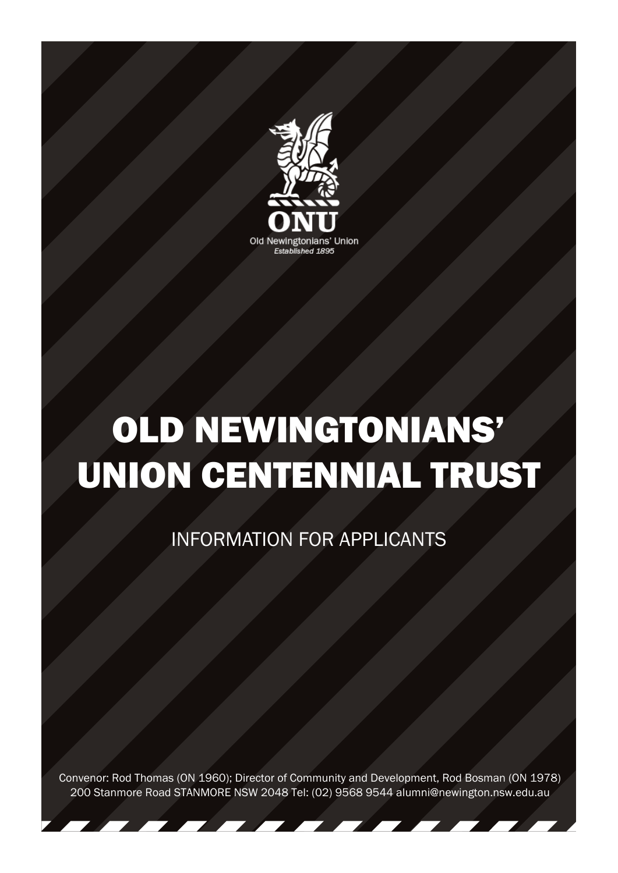

# OLD NEWINGTONIANS' UNION CENTENNIAL TRUST

#### INFORMATION FOR APPLICANTS

Convenor: Rod Thomas (ON 1960); Director of Community and Development, Rod Bosman (ON 1978) 200 Stanmore Road STANMORE NSW 2048 Tel: (02) 9568 9544 alumni@newington.nsw.edu.au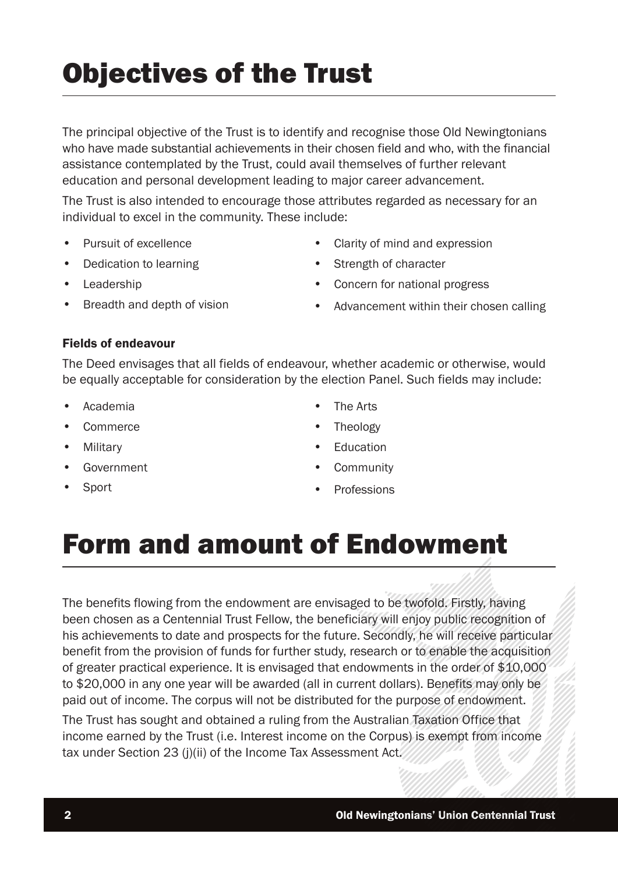## Objectives of the Trust

The principal objective of the Trust is to identify and recognise those Old Newingtonians who have made substantial achievements in their chosen field and who, with the financial assistance contemplated by the Trust, could avail themselves of further relevant education and personal development leading to major career advancement.

The Trust is also intended to encourage those attributes regarded as necessary for an individual to excel in the community. These include:

- Pursuit of excellence
- Dedication to learning
- Leadership
- Breadth and depth of vision
- Clarity of mind and expression
- Strength of character
- Concern for national progress
- Advancement within their chosen calling

#### Fields of endeavour

The Deed envisages that all fields of endeavour, whether academic or otherwise, would be equally acceptable for consideration by the election Panel. Such fields may include:

- Academia
- Commerce
- Military
- Government
- Sport
- The Arts
- **Theology**
- Education
- **Community**
- Professions

#### Form and amount of Endowment

The benefits flowing from the endowment are envisaged to be twofold. Firstly, having been chosen as a Centennial Trust Fellow, the beneficiary will enjoy public recognition of his achievements to date and prospects for the future. Secondly, he will receive particular benefit from the provision of funds for further study, research or to enable the acquisition of greater practical experience. It is envisaged that endowments in the order of \$10,000 to \$20,000 in any one year will be awarded (all in current dollars). Benefits may only be paid out of income. The corpus will not be distributed for the purpose of endowment.

The Trust has sought and obtained a ruling from the Australian Taxation Office that income earned by the Trust (i.e. Interest income on the Corpus) is exempt from income tax under Section 23 (j)(ii) of the Income Tax Assessment Act.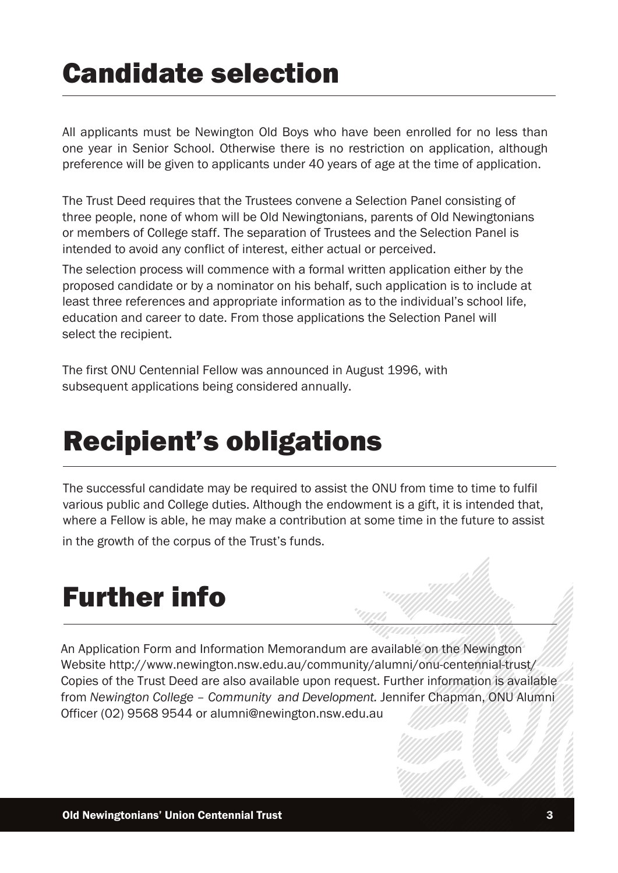#### Candidate selection

All applicants must be Newington Old Boys who have been enrolled for no less than one year in Senior School. Otherwise there is no restriction on application, although preference will be given to applicants under 40 years of age at the time of application.

The Trust Deed requires that the Trustees convene a Selection Panel consisting of three people, none of whom will be Old Newingtonians, parents of Old Newingtonians or members of College staff. The separation of Trustees and the Selection Panel is intended to avoid any conflict of interest, either actual or perceived.

The selection process will commence with a formal written application either by the proposed candidate or by a nominator on his behalf, such application is to include at least three references and appropriate information as to the individual's school life, education and career to date. From those applications the Selection Panel will select the recipient.

The first ONU Centennial Fellow was announced in August 1996, with subsequent applications being considered annually.

### Recipient's obligations

The successful candidate may be required to assist the ONU from time to time to fulfil various public and College duties. Although the endowment is a gift, it is intended that, where a Fellow is able, he may make a contribution at some time in the future to assist

in the growth of the corpus of the Trust's funds.

#### Further info

An Application Form and Information Memorandum are available on the Newington Website http://www.newington.nsw.edu.au/community/alumni/onu-centennial-trust/ Copies of the Trust Deed are also available upon request. Further information is available from *Newington College – Community and Development.* Jennifer Chapman, ONU Alumni Officer (02) 9568 9544 or alumni@newington.nsw.edu.au